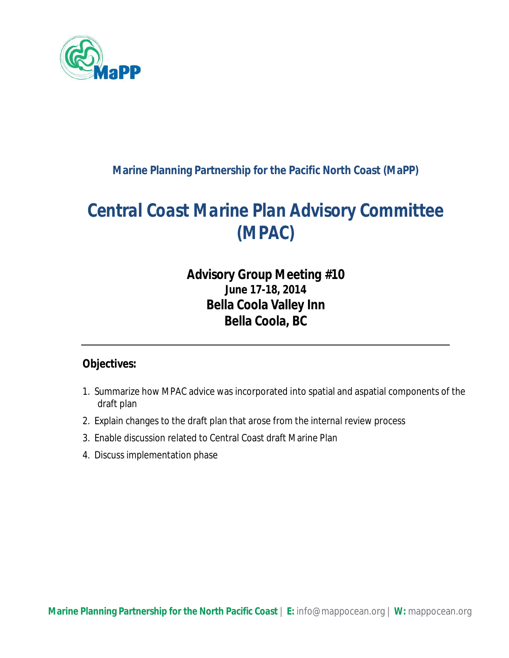

#### **Marine Planning Partnership for the Pacific North Coast (MaPP)**

# *Central Coast Marine Plan Advisory Committee (MPAC)*

## *Advisory Group Meeting #10* **June 17-18, 2014 Bella Coola Valley Inn Bella Coola, BC**

#### **Objectives:**

- 1. Summarize how MPAC advice was incorporated into spatial and aspatial components of the draft plan
- 2. Explain changes to the draft plan that arose from the internal review process
- 3. Enable discussion related to Central Coast draft Marine Plan
- 4. Discuss implementation phase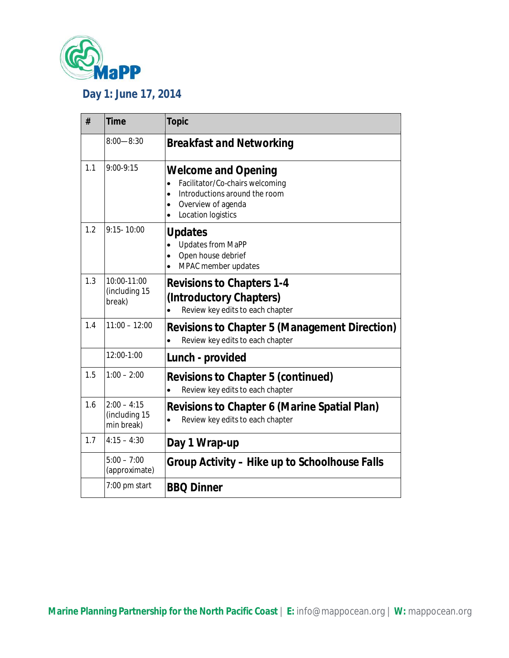

## **Day 1: June 17, 2014**

| #   | <b>Time</b>                                  | <b>Topic</b>                                                                                                                                                                                   |
|-----|----------------------------------------------|------------------------------------------------------------------------------------------------------------------------------------------------------------------------------------------------|
|     | $8:00 - 8:30$                                | <b>Breakfast and Networking</b>                                                                                                                                                                |
| 1.1 | 9:00-9:15                                    | <b>Welcome and Opening</b><br>Facilitator/Co-chairs welcoming<br>$\bullet$<br>Introductions around the room<br>$\bullet$<br>Overview of agenda<br>$\bullet$<br>Location logistics<br>$\bullet$ |
| 1.2 | $9:15 - 10:00$                               | <b>Updates</b><br><b>Updates from MaPP</b><br>Open house debrief<br>$\bullet$<br>MPAC member updates<br>$\bullet$                                                                              |
| 1.3 | 10:00-11:00<br>(including 15<br>break)       | <b>Revisions to Chapters 1-4</b><br>(Introductory Chapters)<br>Review key edits to each chapter<br>$\bullet$                                                                                   |
| 1.4 | $11:00 - 12:00$                              | <b>Revisions to Chapter 5 (Management Direction)</b><br>Review key edits to each chapter<br>$\bullet$                                                                                          |
|     | 12:00-1:00                                   | Lunch - provided                                                                                                                                                                               |
| 1.5 | $1:00 - 2:00$                                | <b>Revisions to Chapter 5 (continued)</b><br>Review key edits to each chapter<br>$\bullet$                                                                                                     |
| 1.6 | $2:00 - 4:15$<br>(including 15<br>min break) | <b>Revisions to Chapter 6 (Marine Spatial Plan)</b><br>Review key edits to each chapter<br>$\bullet$                                                                                           |
| 1.7 | $4:15 - 4:30$                                | Day 1 Wrap-up                                                                                                                                                                                  |
|     | $5:00 - 7:00$<br>(approximate)               | Group Activity – Hike up to Schoolhouse Falls                                                                                                                                                  |
|     | 7:00 pm start                                | <b>BBQ Dinner</b>                                                                                                                                                                              |